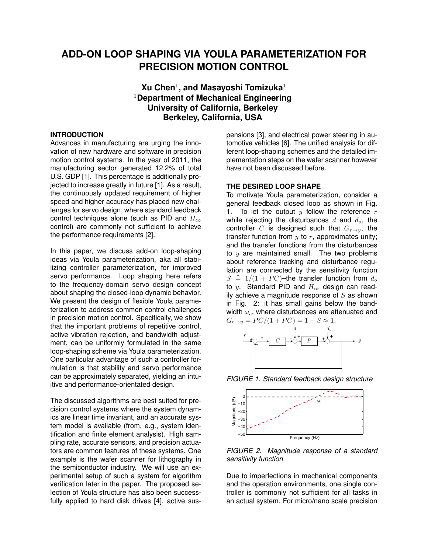# **ADD-ON LOOP SHAPING VIA YOULA PARAMETERIZATION FOR PRECISION MOTION CONTROL**

# **Xu Chen**<sup>1</sup> **, and Masayoshi Tomizuka**<sup>1</sup> <sup>1</sup>**Department of Mechanical Engineering University of California, Berkeley Berkeley, California, USA**

### **INTRODUCTION**

Advances in manufacturing are urging the innovation of new hardware and software in precision motion control systems. In the year of 2011, the manufacturing sector generated 12.2% of total U.S. GDP [1]. This percentage is additionally projected to increase greatly in future [1]. As a result, the continuously updated requirement of higher speed and higher accuracy has placed new challenges for servo design, where standard feedback control techniques alone (such as PID and  $H_{\infty}$ ) control) are commonly not sufficient to achieve the performance requirements [2].

In this paper, we discuss add-on loop-shaping ideas via Youla parameterization, aka all stabilizing controller parameterization, for improved servo performance. Loop shaping here refers to the frequency-domain servo design concept about shaping the closed-loop dynamic behavior. We present the design of flexible Youla parameterization to address common control challenges in precision motion control. Specifically, we show that the important problems of repetitive control, active vibration rejection, and bandwidth adjustment, can be uniformly formulated in the same loop-shaping scheme via Youla parameterization. One particular advantage of such a controller formulation is that stability and servo performance can be approximately separated, yielding an intuitive and performance-orientated design.

The discussed algorithms are best suited for precision control systems where the system dynamics are linear time invariant, and an accurate system model is available (from, e.g., system identification and finite element analysis). High sampling rate, accurate sensors, and precision actuators are common features of these systems. One example is the wafer scanner for lithography in the semiconductor industry. We will use an experimental setup of such a system for algorithm verification later in the paper. The proposed selection of Youla structure has also been successfully applied to hard disk drives [4], active suspensions [3], and electrical power steering in automotive vehicles [6]. The unified analysis for different loop-shaping schemes and the detailed implementation steps on the wafer scanner however have not been discussed before.

## **THE DESIRED LOOP SHAPE**

To motivate Youla parameterization, consider a general feedback closed loop as shown in Fig. 1. To let the output  $y$  follow the reference  $r$ while rejecting the disturbances  $d$  and  $d_o$ , the controller C is designed such that  $G_{r\rightarrow v}$ , the transfer function from  $y$  to  $r$ , approximates unity; and the transfer functions from the disturbances to  $y$  are maintained small. The two problems about reference tracking and disturbance regulation are connected by the sensitivity function  $S \triangleq 1/(1 + PC)$ –the transfer function from  $d_{\alpha}$ to y. Standard PID and  $H_{\infty}$  design can readily achieve a magnitude response of  $S$  as shown in Fig. 2: it has small gains below the bandwidth  $\omega_c$ , where disturbances are attenuated and  $G_{r \to v} = PC/(1+PC) = 1-S \approx 1.$ 







*FIGURE 2. Magnitude response of a standard sensitivity function*

Due to imperfections in mechanical components and the operation environments, one single controller is commonly not sufficient for all tasks in an actual system. For micro/nano scale precision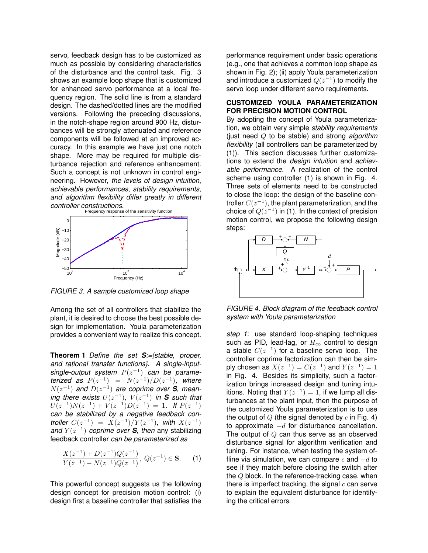servo, feedback design has to be customized as much as possible by considering characteristics of the disturbance and the control task. Fig. 3 shows an example loop shape that is customized for enhanced servo performance at a local frequency region. The solid line is from a standard design. The dashed/dotted lines are the modified versions. Following the preceding discussions, in the notch-shape region around 900 Hz, disturbances will be strongly attenuated and reference components will be followed at an improved accuracy. In this example we have just one notch shape. More may be required for multiple disturbance rejection and reference enhancement. Such a concept is not unknown in control engineering. However, *the levels of design intuition*, *achievable performances*, *stability requirements*, *and algorithm flexibility differ greatly in different controller constructions*.



*FIGURE 3. A sample customized loop shape*

Among the set of all controllers that stabilize the plant, it is desired to choose the best possible design for implementation. Youla parameterization provides a convenient way to realize this concept.

**Theorem 1** *Define the set S:={stable, proper, and rational transfer functions}. A single-input* $single$ -output system  $P(z^{-1})$  can be parame*terized as*  $P(z^{-1}) = N(z^{-1})/D(z^{-1})$ , where  $N(z^{-1})$  and  $D(z^{-1})$  are coprime over S, mean*ing there exists*  $U(z^{-1})$ ,  $V(z^{-1})$  *in S such that*  $U(z^{-1})N(z^{-1}) + V(z^{-1})D(z^{-1}) = 1$ . If  $P(z^{-1})$ *can be stabilized by a negative feedback controller*  $C(z^{-1}) = X(z^{-1})/Y(z^{-1})$ , with  $X(z^{-1})$ *and*  $Y(z^{-1})$  *coprime over S, then* any stabilizing feedback controller *can be parameterized as*

$$
\frac{X(z^{-1}) + D(z^{-1})Q(z^{-1})}{Y(z^{-1}) - N(z^{-1})Q(z^{-1})}, \ Q(z^{-1}) \in \mathbf{S}.
$$
 (1)

This powerful concept suggests us the following design concept for precision motion control: (i) design first a baseline controller that satisfies the performance requirement under basic operations (e.g., one that achieves a common loop shape as shown in Fig. 2); (ii) apply Youla parameterization and introduce a customized  $Q(z^{-1})$  to modify the servo loop under different servo requirements.

#### **CUSTOMIZED YOULA PARAMETERIZATION FOR PRECISION MOTION CONTROL**

By adopting the concept of Youla parameterization, we obtain very simple *stability requirements* (just need Q to be stable) and strong *algorithm flexibility* (all controllers can be parameterized by (1)). This section discusses further customizations to extend the *design intuition* and *achievable performance*. A realization of the control scheme using controller (1) is shown in Fig. 4. Three sets of elements need to be constructed to close the loop: the design of the baseline controller  $C(z^{-1})$ , the plant parameterization, and the choice of  $Q(z^{-1})$  in (1). In the context of precision motion control, we propose the following design steps:



*FIGURE 4. Block diagram of the feedback control system with Youla parameterization*

*step 1*: use standard loop-shaping techniques such as PID, lead-lag, or  $H_{\infty}$  control to design a stable  $C(z^{-1})$  for a baseline servo loop. The controller coprime factorization can then be simply chosen as  $X(z^{-1}) = C(z^{-1})$  and  $Y(z^{-1}) = 1$ in Fig. 4. Besides its simplicity, such a factorization brings increased design and tuning intuitions. Noting that  $Y(z^{-1}) = 1$ , if we lump all disturbances at the plant input, then the purpose of the customized Youla parameterization is to use the output of  $Q$  (the signal denoted by  $c$  in Fig. 4) to approximate  $-d$  for disturbance cancellation. The output of  $Q$  can thus serve as an observed disturbance signal for algorithm verification and tuning. For instance, when testing the system offline via simulation, we can compare c and  $-d$  to see if they match before closing the switch after the Q block. In the reference-tracking case, when there is imperfect tracking, the signal  $c$  can serve to explain the equivalent disturbance for identifying the critical errors.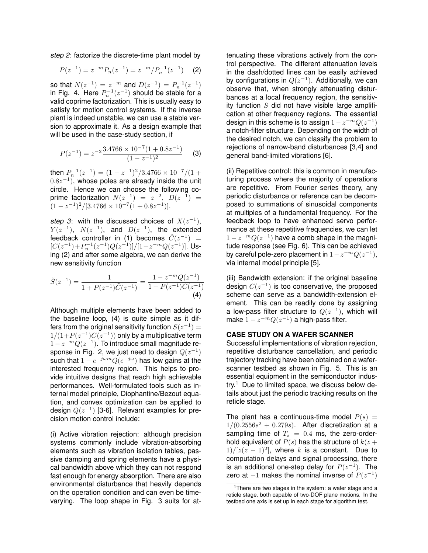*step 2*: factorize the discrete-time plant model by

$$
P(z^{-1}) = z^{-m} P_n(z^{-1}) = z^{-m} / P_n^{-1}(z^{-1}) \quad \text{(2)}
$$

so that  $N(z^{-1}) = z^{-m}$  and  $D(z^{-1}) = P_n^{-1}(z^{-1})$ in Fig. 4. Here  $P_n^{-1}(z^{-1})$  should be stable for a valid coprime factorization. This is usually easy to satisfy for motion control systems. If the inverse plant is indeed unstable, we can use a stable version to approximate it. As a design example that will be used in the case-study section, if

$$
P(z^{-1}) = z^{-2} \frac{3.4766 \times 10^{-7} (1 + 0.8z^{-1})}{(1 - z^{-1})^2}
$$
 (3)

then  $P_n^{-1}(z^{-1}) = (1 - z^{-1})^2/3.4766 \times 10^{-7}/(1 +$  $(0.8z^{-1})$ , whose poles are already inside the unit circle. Hence we can choose the following coprime factorization  $N(z^{-1}) = z^{-2}$ ,  $D(z^{-1}) =$  $(1-z^{-1})^2/[3.4766\times10^{-7}(1+0.8z^{-1})].$ 

*step 3*: with the discussed choices of  $X(z^{-1})$ ,  $Y(z^{-1}), N(z^{-1}),$  and  $D(z^{-1}),$  the extended feedback controller in (1) becomes  $\tilde{C}(z^{-1})$  =  $[C(z^{-1})+P_n^{-1}(z^{-1})Q(z^{-1})]/[1-z^{-m}Q(z^{-1})]$ . Using (2) and after some algebra, we can derive the new sensitivity function

$$
\tilde{S}(z^{-1}) = \frac{1}{1 + P(z^{-1})\tilde{C}(z^{-1})} = \frac{1 - z^{-m}Q(z^{-1})}{1 + P(z^{-1})C(z^{-1})}
$$
\n(4)

Although multiple elements have been added to the baseline loop, (4) is quite simple as it differs from the original sensitivity function  $S(z^{-1})=$  $1/(1+P(z^{-1})C(z^{-1}))$  only by a multiplicative term  $1-z^{-m}Q(z^{-1})$ . To introduce small magnitude response in Fig. 2, we just need to design  $Q(z^{-1})$ such that  $1-e^{-j\omega m}Q(e^{-j\omega})$  has low gains at the interested frequency region. This helps to provide intuitive designs that reach high achievable performances. Well-formulated tools such as internal model principle, Diophantine/Bezout equation, and convex optimization can be applied to design  $Q(z^{-1})$  [3-6]. Relevant examples for precision motion control include:

(i) Active vibration rejection: although precision systems commonly include vibration-absorbing elements such as vibration isolation tables, passive damping and spring elements have a physical bandwidth above which they can not respond fast enough for energy absorption. There are also environmental disturbance that heavily depends on the operation condition and can even be timevarying. The loop shape in Fig. 3 suits for at-

tenuating these vibrations actively from the control perspective. The different attenuation levels in the dash/dotted lines can be easily achieved by configurations in  $Q(z^{-1})$ . Additionally, we can observe that, when strongly attenuating disturbances at a local frequency region, the sensitivity function  $S$  did not have visible large amplification at other frequency regions. The essential design in this scheme is to assign  $1-z^{-m}Q(z^{-1})$ a notch-filter structure. Depending on the width of the desired notch, we can classify the problem to rejections of narrow-band disturbances [3,4] and general band-limited vibrations [6].

(ii) Repetitive control: this is common in manufacturing process where the majority of operations are repetitive. From Fourier series theory, any periodic disturbance or reference can be decomposed to summations of sinusoidal components at multiples of a fundamental frequency. For the feedback loop to have enhanced servo performance at these repetitive frequencies, we can let  $1-z^{-m}Q(z^{-1})$  have a comb shape in the magnitude response (see Fig. 6). This can be achieved by careful pole-zero placement in  $1-z^{-m}Q(z^{-1}),$ via internal model principle [5].

(iii) Bandwidth extension: if the original baseline design  $C(z^{-1})$  is too conservative, the proposed scheme can serve as a bandwidth-extension element. This can be readily done by assigning a low-pass filter structure to  $Q(z^{-1})$ , which will make  $1 - z^{-m} Q(z^{-1})$  a high-pass filter.

# **CASE STUDY ON A WAFER SCANNER**

Successful implementations of vibration rejection, repetitive disturbance cancellation, and periodic trajectory tracking have been obtained on a waferscanner testbed as shown in Fig. 5. This is an essential equipment in the semiconductor indus $try.<sup>1</sup>$  Due to limited space, we discuss below details about just the periodic tracking results on the reticle stage.

The plant has a continuous-time model  $P(s) =$  $1/(0.2556s^2 + 0.279s)$ . After discretization at a sampling time of  $T_s = 0.4$  ms, the zero-orderhold equivalent of  $P(s)$  has the structure of  $k(z +$  $1/[(z(z-1)^2]$ , where k is a constant. Due to computation delays and signal processing, there is an additional one-step delay for  $P(z^{-1})$ . The zero at  $-1$  makes the nominal inverse of  $P(z^{-1})$ 

<sup>&</sup>lt;sup>1</sup>There are two stages in the system: a wafer stage and a reticle stage, both capable of two-DOF plane motions. In the testbed one axis is set up in each stage for algorithm test.